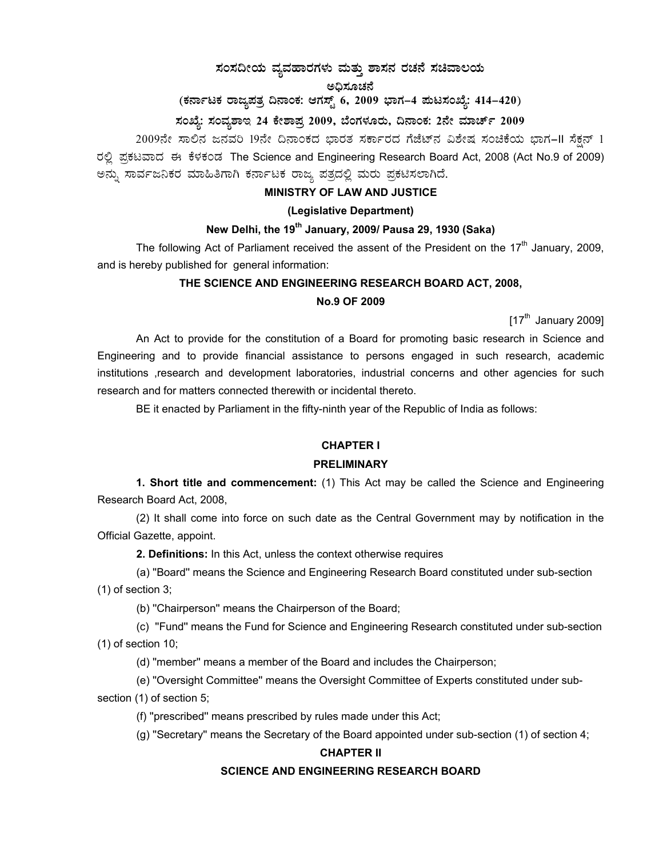# $\,$ ಸಂಸದೀಯ ವ್ಯವಹಾರಗಳು ಮತ್ತು ಶಾಸನ ರಚನೆ ಸಚಿವಾಲಯ

ಅಧಿಸೂಚನೆ

# (ಕರ್ನಾಟಕ ರಾಜ್ಯಪತ್ರ ದಿನಾಂಕ: ಆಗಸ್ಟ್ **6, 2009 ಭಾಗ–4 ಪುಟಸಂಖ್ಯೆ: 414–420**)

## ಸಂಖ್ಯೆ: ಸಂವ್ಯಶಾಇ 24 ಕೇಶಾಪ್ರ 2009, ಬೆಂಗಳೂರು, ದಿನಾಂಕ: 2ನೇ ಮಾರ್ಚ್ 2009

 $2009$ ನೇ ಸಾಲಿನ ಜನವರಿ 19ನೇ ದಿನಾಂಕದ ಭಾರತ ಸರ್ಕಾರದ ಗೆಜೆಟ್ನ ವಿಶೇಷ ಸಂಚಿಕೆಯ ಭಾಗ–II ಸೆಕ್ಷನ್ 1 ರಲ್ಲಿ ಪ್ರಕಟವಾದ ಈ ಕೆಳಕಂಡ The Science and Engineering Research Board Act, 2008 (Act No.9 of 2009) ಅನ್ನು ಸಾರ್ವಜನಿಕರ ಮಾಹಿತಿಗಾಗಿ ಕರ್ನಾಟಕ ರಾಜ್ಯ ಪತ್ರದಲ್ಲಿ ಮರು ಪ್ರಕಟಿಸಲಾಗಿದೆ.

#### **MINISTRY OF LAW AND JUSTICE**

#### **(Legislative Department)**

### **New Delhi, the 19th January, 2009/ Pausa 29, 1930 (Saka)**

The following Act of Parliament received the assent of the President on the  $17<sup>th</sup>$  January, 2009, and is hereby published for general information:

#### **THE SCIENCE AND ENGINEERING RESEARCH BOARD ACT, 2008,**

#### **No.9 OF 2009**

 $[17<sup>th</sup>$  January 2009]

 An Act to provide for the constitution of a Board for promoting basic research in Science and Engineering and to provide financial assistance to persons engaged in such research, academic institutions ,research and development laboratories, industrial concerns and other agencies for such research and for matters connected therewith or incidental thereto.

BE it enacted by Parliament in the fifty-ninth year of the Republic of India as follows:

#### **CHAPTER I**

#### **PRELIMINARY**

**1. Short title and commencement:** (1) This Act may be called the Science and Engineering Research Board Act, 2008,

 (2) It shall come into force on such date as the Central Government may by notification in the Official Gazette, appoint.

**2. Definitions:** In this Act, unless the context otherwise requires

 (a) ''Board'' means the Science and Engineering Research Board constituted under sub-section (1) of section 3;

(b) ''Chairperson'' means the Chairperson of the Board;

 (c) ''Fund'' means the Fund for Science and Engineering Research constituted under sub-section (1) of section 10;

(d) ''member'' means a member of the Board and includes the Chairperson;

(e) ''Oversight Committee'' means the Oversight Committee of Experts constituted under sub-

section (1) of section 5;

(f) ''prescribed'' means prescribed by rules made under this Act;

(g) ''Secretary'' means the Secretary of the Board appointed under sub-section (1) of section 4;

#### **CHAPTER II**

#### **SCIENCE AND ENGINEERING RESEARCH BOARD**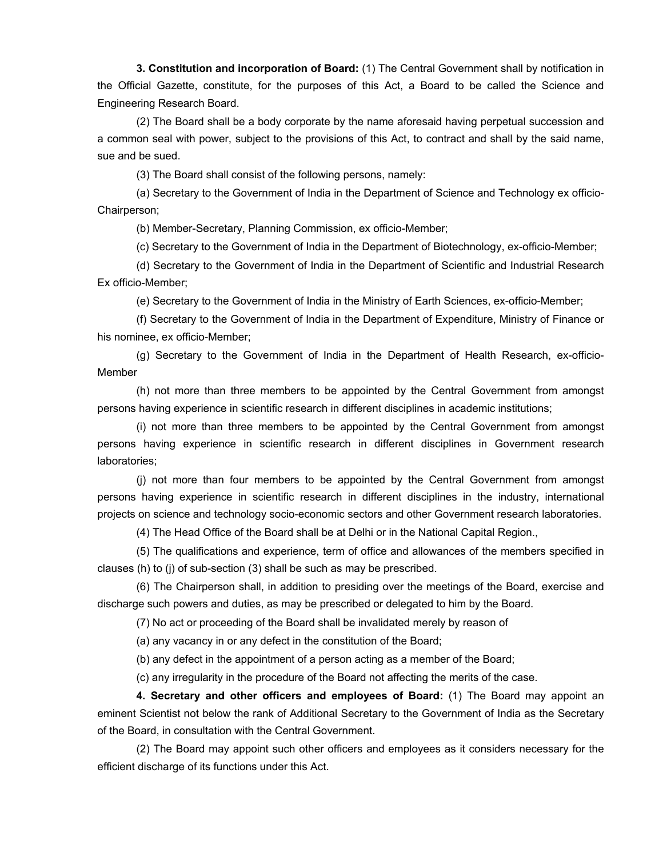**3. Constitution and incorporation of Board:** (1) The Central Government shall by notification in the Official Gazette, constitute, for the purposes of this Act, a Board to be called the Science and Engineering Research Board.

 (2) The Board shall be a body corporate by the name aforesaid having perpetual succession and a common seal with power, subject to the provisions of this Act, to contract and shall by the said name, sue and be sued.

(3) The Board shall consist of the following persons, namely:

 (a) Secretary to the Government of India in the Department of Science and Technology ex officio-Chairperson;

(b) Member-Secretary, Planning Commission, ex officio-Member;

(c) Secretary to the Government of India in the Department of Biotechnology, ex-officio-Member;

 (d) Secretary to the Government of India in the Department of Scientific and Industrial Research Ex officio-Member;

(e) Secretary to the Government of India in the Ministry of Earth Sciences, ex-officio-Member;

 (f) Secretary to the Government of India in the Department of Expenditure, Ministry of Finance or his nominee, ex officio-Member;

 (g) Secretary to the Government of India in the Department of Health Research, ex-officio-Member

 (h) not more than three members to be appointed by the Central Government from amongst persons having experience in scientific research in different disciplines in academic institutions;

 (i) not more than three members to be appointed by the Central Government from amongst persons having experience in scientific research in different disciplines in Government research laboratories;

 (j) not more than four members to be appointed by the Central Government from amongst persons having experience in scientific research in different disciplines in the industry, international projects on science and technology socio-economic sectors and other Government research laboratories.

(4) The Head Office of the Board shall be at Delhi or in the National Capital Region.,

 (5) The qualifications and experience, term of office and allowances of the members specified in clauses (h) to (j) of sub-section (3) shall be such as may be prescribed.

 (6) The Chairperson shall, in addition to presiding over the meetings of the Board, exercise and discharge such powers and duties, as may be prescribed or delegated to him by the Board.

(7) No act or proceeding of the Board shall be invalidated merely by reason of

(a) any vacancy in or any defect in the constitution of the Board;

(b) any defect in the appointment of a person acting as a member of the Board;

(c) any irregularity in the procedure of the Board not affecting the merits of the case.

**4. Secretary and other officers and employees of Board:** (1) The Board may appoint an eminent Scientist not below the rank of Additional Secretary to the Government of India as the Secretary of the Board, in consultation with the Central Government.

 (2) The Board may appoint such other officers and employees as it considers necessary for the efficient discharge of its functions under this Act.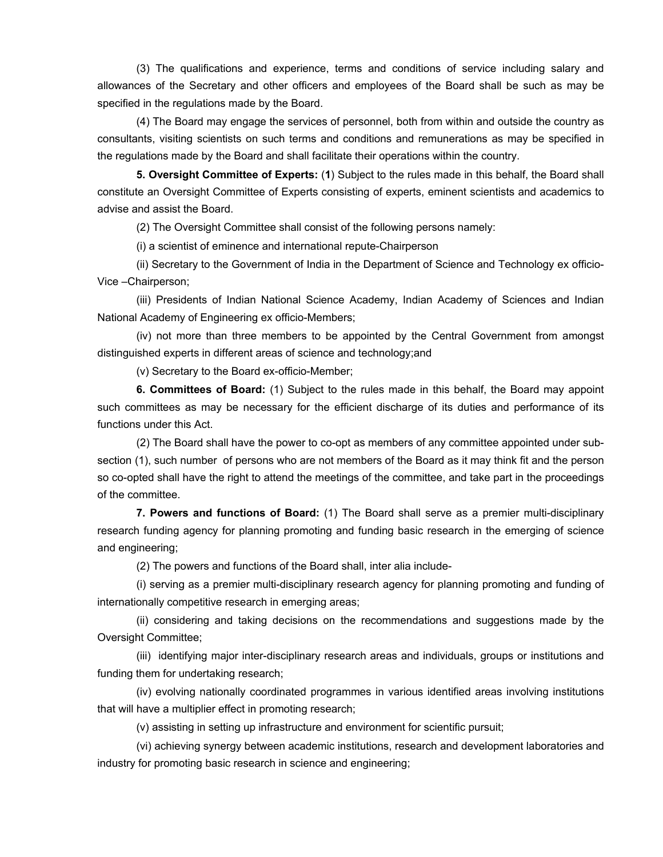(3) The qualifications and experience, terms and conditions of service including salary and allowances of the Secretary and other officers and employees of the Board shall be such as may be specified in the regulations made by the Board.

 (4) The Board may engage the services of personnel, both from within and outside the country as consultants, visiting scientists on such terms and conditions and remunerations as may be specified in the regulations made by the Board and shall facilitate their operations within the country.

**5. Oversight Committee of Experts:** (**1**) Subject to the rules made in this behalf, the Board shall constitute an Oversight Committee of Experts consisting of experts, eminent scientists and academics to advise and assist the Board.

(2) The Oversight Committee shall consist of the following persons namely:

(i) a scientist of eminence and international repute-Chairperson

 (ii) Secretary to the Government of India in the Department of Science and Technology ex officio-Vice –Chairperson;

 (iii) Presidents of Indian National Science Academy, Indian Academy of Sciences and Indian National Academy of Engineering ex officio-Members;

 (iv) not more than three members to be appointed by the Central Government from amongst distinguished experts in different areas of science and technology;and

(v) Secretary to the Board ex-officio-Member;

**6. Committees of Board:** (1) Subject to the rules made in this behalf, the Board may appoint such committees as may be necessary for the efficient discharge of its duties and performance of its functions under this Act.

 (2) The Board shall have the power to co-opt as members of any committee appointed under subsection (1), such number of persons who are not members of the Board as it may think fit and the person so co-opted shall have the right to attend the meetings of the committee, and take part in the proceedings of the committee.

 **7. Powers and functions of Board:** (1) The Board shall serve as a premier multi-disciplinary research funding agency for planning promoting and funding basic research in the emerging of science and engineering;

(2) The powers and functions of the Board shall, inter alia include-

 (i) serving as a premier multi-disciplinary research agency for planning promoting and funding of internationally competitive research in emerging areas;

 (ii) considering and taking decisions on the recommendations and suggestions made by the Oversight Committee;

 (iii) identifying major inter-disciplinary research areas and individuals, groups or institutions and funding them for undertaking research;

 (iv) evolving nationally coordinated programmes in various identified areas involving institutions that will have a multiplier effect in promoting research;

(v) assisting in setting up infrastructure and environment for scientific pursuit;

 (vi) achieving synergy between academic institutions, research and development laboratories and industry for promoting basic research in science and engineering;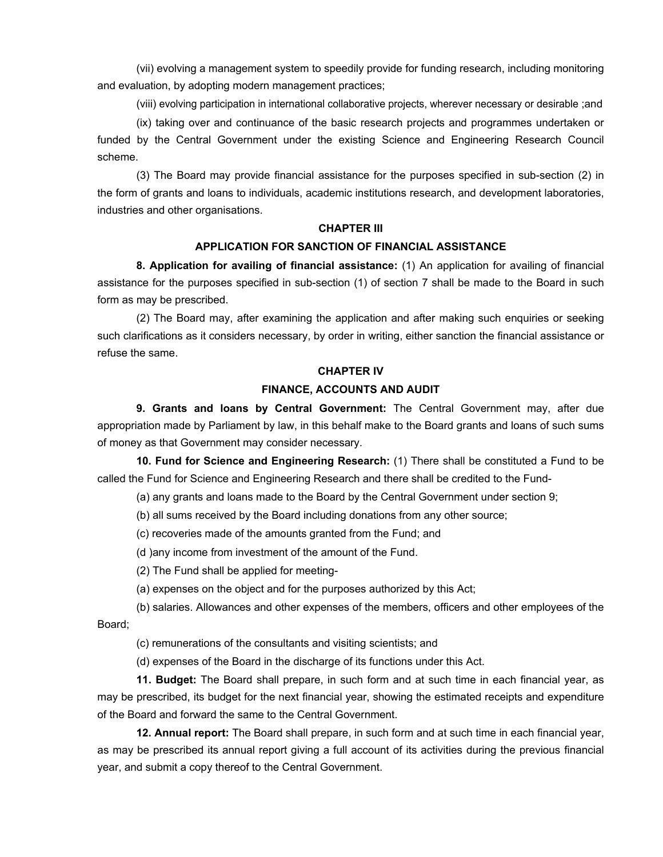(vii) evolving a management system to speedily provide for funding research, including monitoring and evaluation, by adopting modern management practices;

(viii) evolving participation in international collaborative projects, wherever necessary or desirable ;and

 (ix) taking over and continuance of the basic research projects and programmes undertaken or funded by the Central Government under the existing Science and Engineering Research Council scheme.

 (3) The Board may provide financial assistance for the purposes specified in sub-section (2) in the form of grants and loans to individuals, academic institutions research, and development laboratories, industries and other organisations.

#### **CHAPTER III**

#### **APPLICATION FOR SANCTION OF FINANCIAL ASSISTANCE**

 **8. Application for availing of financial assistance:** (1) An application for availing of financial assistance for the purposes specified in sub-section (1) of section 7 shall be made to the Board in such form as may be prescribed.

 (2) The Board may, after examining the application and after making such enquiries or seeking such clarifications as it considers necessary, by order in writing, either sanction the financial assistance or refuse the same.

#### **CHAPTER IV**

#### **FINANCE, ACCOUNTS AND AUDIT**

 **9. Grants and loans by Central Government:** The Central Government may, after due appropriation made by Parliament by law, in this behalf make to the Board grants and loans of such sums of money as that Government may consider necessary.

**10. Fund for Science and Engineering Research:** (1) There shall be constituted a Fund to be called the Fund for Science and Engineering Research and there shall be credited to the Fund-

(a) any grants and loans made to the Board by the Central Government under section 9;

(b) all sums received by the Board including donations from any other source;

(c) recoveries made of the amounts granted from the Fund; and

(d )any income from investment of the amount of the Fund.

(2) The Fund shall be applied for meeting-

(a) expenses on the object and for the purposes authorized by this Act;

 (b) salaries. Allowances and other expenses of the members, officers and other employees of the Board;

(c) remunerations of the consultants and visiting scientists; and

(d) expenses of the Board in the discharge of its functions under this Act.

**11. Budget:** The Board shall prepare, in such form and at such time in each financial year, as may be prescribed, its budget for the next financial year, showing the estimated receipts and expenditure of the Board and forward the same to the Central Government.

**12. Annual report:** The Board shall prepare, in such form and at such time in each financial year, as may be prescribed its annual report giving a full account of its activities during the previous financial year, and submit a copy thereof to the Central Government.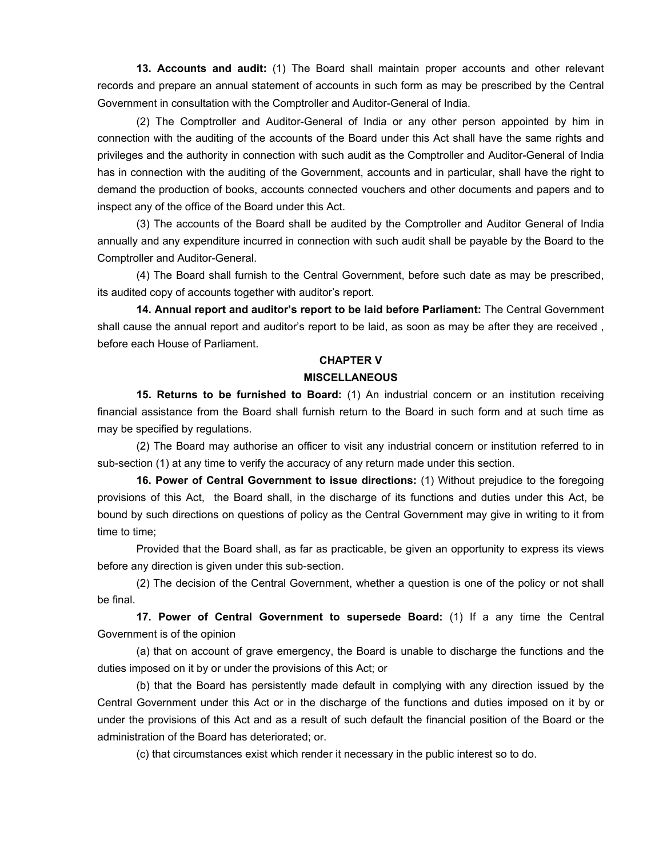**13. Accounts and audit:** (1) The Board shall maintain proper accounts and other relevant records and prepare an annual statement of accounts in such form as may be prescribed by the Central Government in consultation with the Comptroller and Auditor-General of India.

 (2) The Comptroller and Auditor-General of India or any other person appointed by him in connection with the auditing of the accounts of the Board under this Act shall have the same rights and privileges and the authority in connection with such audit as the Comptroller and Auditor-General of India has in connection with the auditing of the Government, accounts and in particular, shall have the right to demand the production of books, accounts connected vouchers and other documents and papers and to inspect any of the office of the Board under this Act.

 (3) The accounts of the Board shall be audited by the Comptroller and Auditor General of India annually and any expenditure incurred in connection with such audit shall be payable by the Board to the Comptroller and Auditor-General.

 (4) The Board shall furnish to the Central Government, before such date as may be prescribed, its audited copy of accounts together with auditor's report.

**14. Annual report and auditor's report to be laid before Parliament:** The Central Government shall cause the annual report and auditor's report to be laid, as soon as may be after they are received , before each House of Parliament.

## **CHAPTER V MISCELLANEOUS**

 **15. Returns to be furnished to Board:** (1) An industrial concern or an institution receiving financial assistance from the Board shall furnish return to the Board in such form and at such time as may be specified by regulations.

 (2) The Board may authorise an officer to visit any industrial concern or institution referred to in sub-section (1) at any time to verify the accuracy of any return made under this section.

**16. Power of Central Government to issue directions:** (1) Without prejudice to the foregoing provisions of this Act, the Board shall, in the discharge of its functions and duties under this Act, be bound by such directions on questions of policy as the Central Government may give in writing to it from time to time;

 Provided that the Board shall, as far as practicable, be given an opportunity to express its views before any direction is given under this sub-section.

 (2) The decision of the Central Government, whether a question is one of the policy or not shall be final.

**17. Power of Central Government to supersede Board:** (1) If a any time the Central Government is of the opinion

 (a) that on account of grave emergency, the Board is unable to discharge the functions and the duties imposed on it by or under the provisions of this Act; or

 (b) that the Board has persistently made default in complying with any direction issued by the Central Government under this Act or in the discharge of the functions and duties imposed on it by or under the provisions of this Act and as a result of such default the financial position of the Board or the administration of the Board has deteriorated; or.

(c) that circumstances exist which render it necessary in the public interest so to do.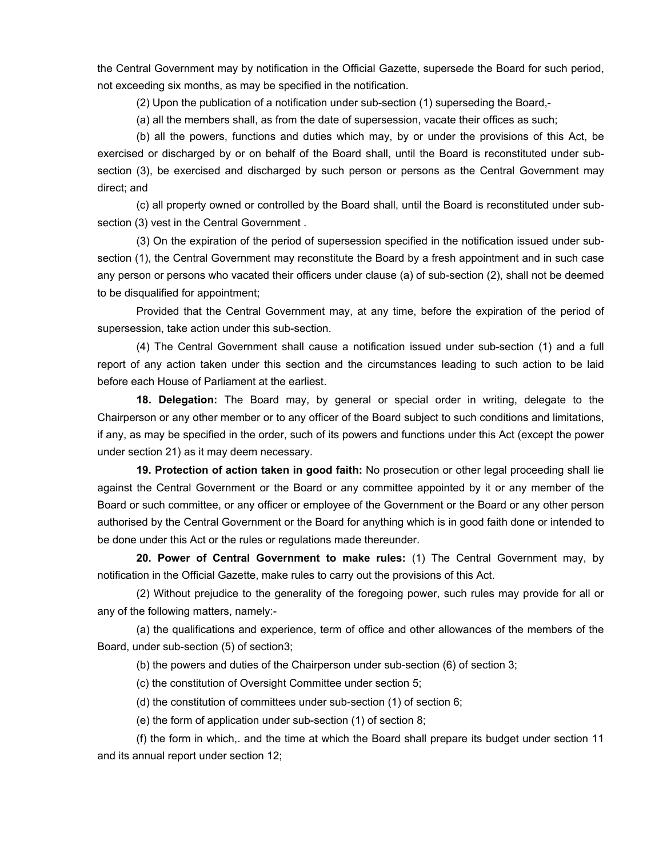the Central Government may by notification in the Official Gazette, supersede the Board for such period, not exceeding six months, as may be specified in the notification.

(2) Upon the publication of a notification under sub-section (1) superseding the Board,-

(a) all the members shall, as from the date of supersession, vacate their offices as such;

 (b) all the powers, functions and duties which may, by or under the provisions of this Act, be exercised or discharged by or on behalf of the Board shall, until the Board is reconstituted under subsection (3), be exercised and discharged by such person or persons as the Central Government may direct; and

 (c) all property owned or controlled by the Board shall, until the Board is reconstituted under subsection (3) vest in the Central Government .

 (3) On the expiration of the period of supersession specified in the notification issued under subsection (1), the Central Government may reconstitute the Board by a fresh appointment and in such case any person or persons who vacated their officers under clause (a) of sub-section (2), shall not be deemed to be disqualified for appointment;

 Provided that the Central Government may, at any time, before the expiration of the period of supersession, take action under this sub-section.

 (4) The Central Government shall cause a notification issued under sub-section (1) and a full report of any action taken under this section and the circumstances leading to such action to be laid before each House of Parliament at the earliest.

**18. Delegation:** The Board may, by general or special order in writing, delegate to the Chairperson or any other member or to any officer of the Board subject to such conditions and limitations, if any, as may be specified in the order, such of its powers and functions under this Act (except the power under section 21) as it may deem necessary.

**19. Protection of action taken in good faith:** No prosecution or other legal proceeding shall lie against the Central Government or the Board or any committee appointed by it or any member of the Board or such committee, or any officer or employee of the Government or the Board or any other person authorised by the Central Government or the Board for anything which is in good faith done or intended to be done under this Act or the rules or regulations made thereunder.

**20. Power of Central Government to make rules:** (1) The Central Government may, by notification in the Official Gazette, make rules to carry out the provisions of this Act.

 (2) Without prejudice to the generality of the foregoing power, such rules may provide for all or any of the following matters, namely:-

 (a) the qualifications and experience, term of office and other allowances of the members of the Board, under sub-section (5) of section3;

(b) the powers and duties of the Chairperson under sub-section (6) of section 3;

(c) the constitution of Oversight Committee under section 5;

(d) the constitution of committees under sub-section (1) of section 6;

(e) the form of application under sub-section (1) of section 8;

 (f) the form in which,. and the time at which the Board shall prepare its budget under section 11 and its annual report under section 12;